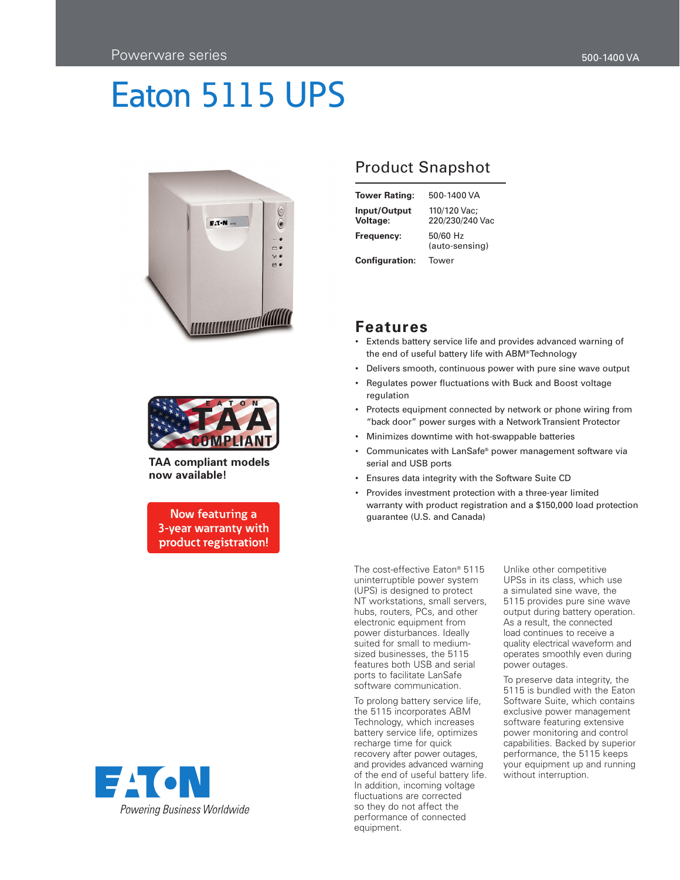



**TAA compliant models now available!**

Now featuring a 3-year warranty with product registration!



## Product Snapshot

| <b>Tower Rating:</b>     | 500-1400 VA                     |
|--------------------------|---------------------------------|
| Input/Output<br>Voltage: | 110/120 Vac:<br>220/230/240 Vac |
| Frequency:               | 50/60 Hz<br>(auto-sensing)      |
| <b>Configuration:</b>    | Tower                           |

## **Features**

- • Extends battery service life and provides advanced warning of the end of useful battery life with ABM® Technology
- Delivers smooth, continuous power with pure sine wave output
- • Regulates power fluctuations with Buck and Boost voltage regulation
- Protects equipment connected by network or phone wiring from "back door" power surges with a NetworkTransient Protector
- • Minimizes downtime with hot-swappable batteries
- • Communicates with LanSafe® power management software via serial and USB ports
- • Ensures data integrity with the Software Suite CD
- Provides investment protection with a three-year limited warranty with product registration and a \$150,000 load protection guarantee (U.S. and Canada)

The cost-effective Eaton® 5115 uninterruptible power system (UPS) is designed to protect NT workstations, small servers, hubs, routers, PCs, and other electronic equipment from power disturbances. Ideally suited for small to mediumsized businesses, the 5115 features both USB and serial ports to facilitate LanSafe software communication.

To prolong battery service life, the 5115 incorporates ABM Technology, which increases battery service life, optimizes recharge time for quick recovery after power outages, and provides advanced warning of the end of useful battery life. In addition, incoming voltage fluctuations are corrected so they do not affect the performance of connected equipment.

Unlike other competitive UPSs in its class, which use a simulated sine wave, the 5115 provides pure sine wave output during battery operation. As a result, the connected load continues to receive a quality electrical waveform and operates smoothly even during power outages.

To preserve data integrity, the 5115 is bundled with the Eaton Software Suite, which contains exclusive power management software featuring extensive power monitoring and control capabilities. Backed by superior performance, the 5115 keeps your equipment up and running without interruption.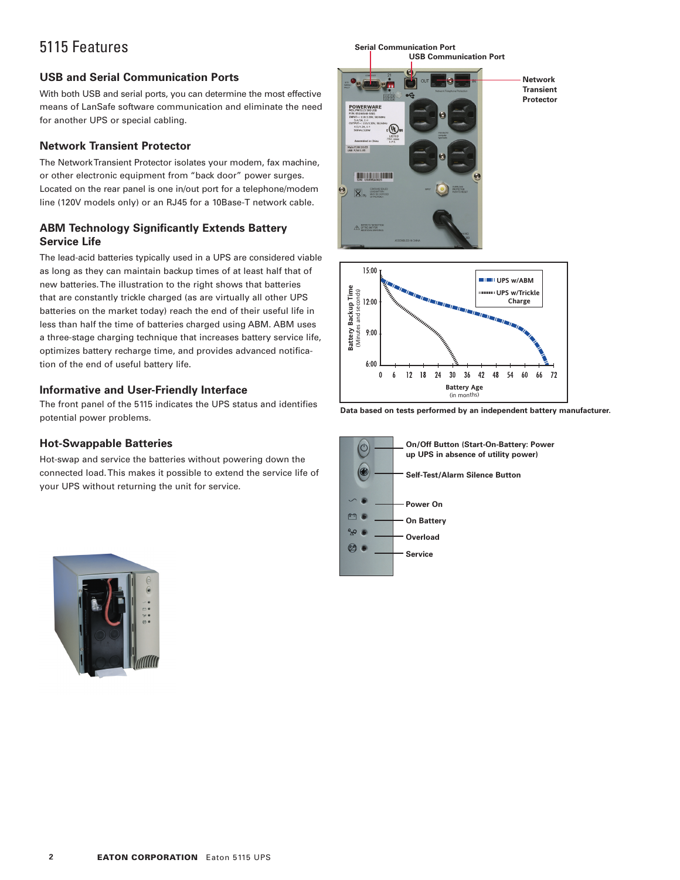# 5115 Features

## **USB and Serial Communication Ports**

With both USB and serial ports, you can determine the most effective means of LanSafe software communication and eliminate the need for another UPS or special cabling.

## **Network Transient Protector**

The NetworkTransient Protector isolates your modem, fax machine, or other electronic equipment from "back door" power surges. Located on the rear panel is one in/out port for a telephone/modem line (120V models only) or an RJ45 for a 10Base-T network cable.

#### **ABM Technology Significantly Extends Battery Service Life**

The lead-acid batteries typically used in a UPS are considered viable as long as they can maintain backup times of at least half that of new batteries.The illustration to the right shows that batteries that are constantly trickle charged (as are virtually all other UPS batteries on the market today) reach the end of their useful life in less than half the time of batteries charged using ABM. ABM uses a three-stage charging technique that increases battery service life, optimizes battery recharge time, and provides advanced notification of the end of useful battery life.

#### **Informative and User-Friendly Interface**

The front panel of the 5115 indicates the UPS status and identifies potential power problems.

## **Hot-Swappable Batteries**

Hot-swap and service the batteries without powering down the connected load.This makes it possible to extend the service life of your UPS without returning the unit for service.



**Data based on tests performed by an independent battery manufacturer.**

72

**Battery Age** (in months)

 $12$  $18$ 24  $30$ 36 42 48 54 60 66

 $\bf{0}$ 6



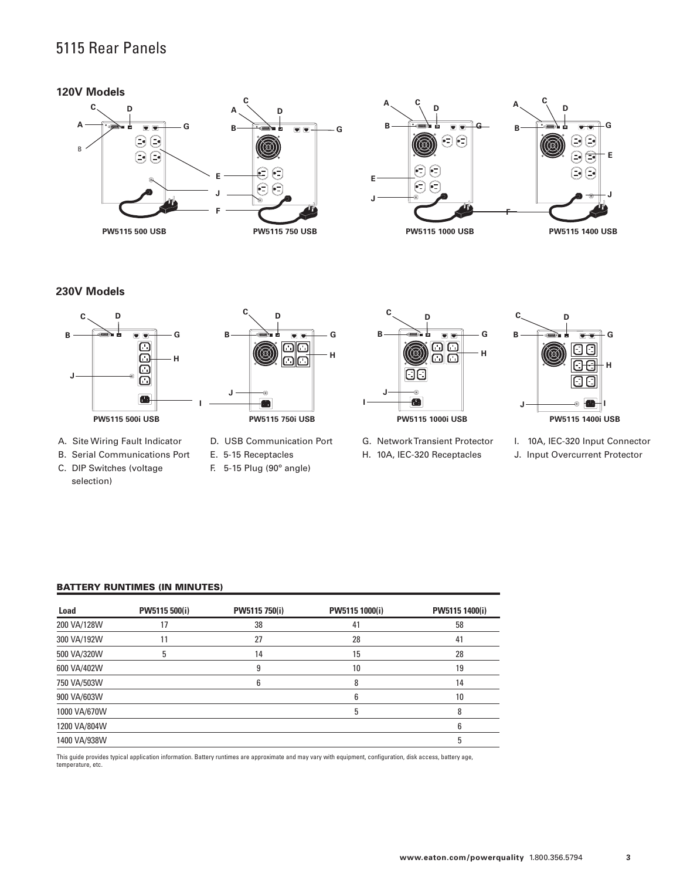## 5115 Rear Panels

#### **120V Models**





#### **230V Models**



- A. Site Wiring Fault Indicator
- B. Serial Communications Port
- C. DIP Switches (voltage selection)



- D. USB Communication Port
- E. 5-15 Receptacles
- F. 5-15 Plug (90º angle)



G. NetworkTransient Protector H. 10A, IEC-320 Receptacles



- 
- I. 10A, IEC-320 Input Connector
- J. Input Overcurrent Protector

## Battery RunTimes (In Minutes)

| Load         | PW5115 500(i) | PW5115 750(i) | PW5115 1000(i) | PW5115 1400(i) |
|--------------|---------------|---------------|----------------|----------------|
| 200 VA/128W  | 17            | 38            | 41             | 58             |
| 300 VA/192W  | 11            | 27            | 28             | 41             |
| 500 VA/320W  | 5             | 14            | 15             | 28             |
| 600 VA/402W  |               | 9             | 10             | 19             |
| 750 VA/503W  |               | 6             | 8              | 14             |
| 900 VA/603W  |               |               | 6              | 10             |
| 1000 VA/670W |               |               | 5              | 8              |
| 1200 VA/804W |               |               |                | 6              |
| 1400 VA/938W |               |               |                | 5              |
|              |               |               |                |                |

This guide provides typical application information. Battery runtimes are approximate and may vary with equipment, configuration, disk access, battery age, temperature, etc.